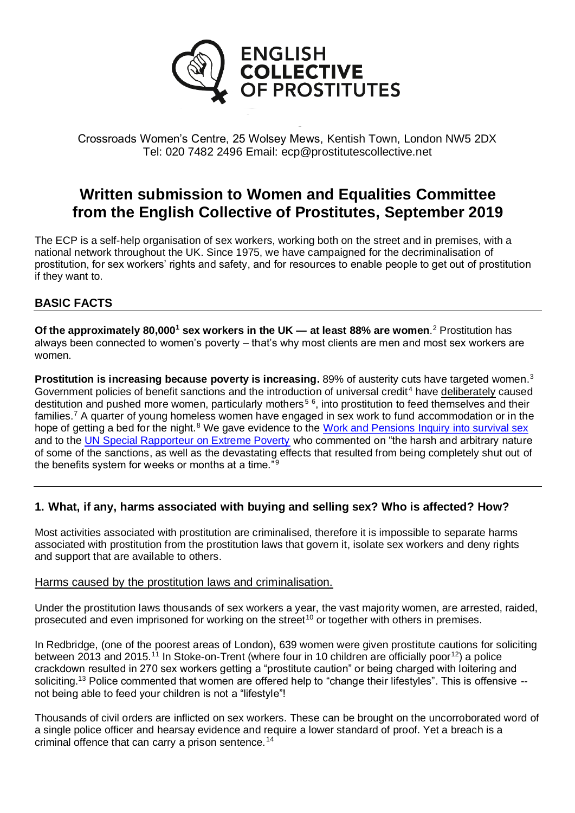

Crossroads Women's Centre, 25 Wolsey Mews, Kentish Town, London NW5 2DX Tel: 020 7482 2496 Email: ecp@prostitutescollective.net

# **Written submission to Women and Equalities Committee from the English Collective of Prostitutes, September 2019**

The ECP is a self-help organisation of sex workers, working both on the street and in premises, with a national network throughout the UK. Since 1975, we have campaigned for the decriminalisation of prostitution, for sex workers' rights and safety, and for resources to enable people to get out of prostitution if they want to.

# **BASIC FACTS**

**Of the approximately 80,000<sup>1</sup> sex workers in the UK — at least 88% are women**. <sup>2</sup> Prostitution has always been connected to women's poverty – that's why most clients are men and most sex workers are women.

**Prostitution is increasing because poverty is increasing.** 89% of austerity cuts have targeted women.<sup>3</sup> Government policies of benefit sanctions and the introduction of universal credit<sup>4</sup> have deliberately caused destitution and pushed more women, particularly mothers<sup>56</sup>, into prostitution to feed themselves and their families.<sup>7</sup> A quarter of young homeless women have engaged in sex work to fund accommodation or in the hope of getting a bed for the night.<sup>8</sup> We gave evidence to the [Work and Pensions Inquiry into survival sex](http://prostitutescollective.net/2019/04/ecp-submission-to-work-and-pensions-committee-inquiry-into-survival-sex/) and to the [UN Special Rapporteur on Extreme Poverty](https://www.ohchr.org/Documents/Issues/EPoverty/UnitedKingdom/2018/NGOS/English_CollectiveofProstitutes.pdf) who commented on "the harsh and arbitrary nature of some of the sanctions, as well as the devastating effects that resulted from being completely shut out of the benefits system for weeks or months at a time."<sup>9</sup>

## **1. What, if any, harms associated with buying and selling sex? Who is affected? How?**

Most activities associated with prostitution are criminalised, therefore it is impossible to separate harms associated with prostitution from the prostitution laws that govern it, isolate sex workers and deny rights and support that are available to others.

#### Harms caused by the prostitution laws and criminalisation.

Under the prostitution laws thousands of sex workers a year, the vast majority women, are arrested, raided, prosecuted and even imprisoned for working on the street<sup>10</sup> or together with others in premises.

In Redbridge, (one of the poorest areas of London), 639 women were given prostitute cautions for soliciting between 2013 and 2015.<sup>11</sup> In Stoke-on-Trent (where four in 10 children are officially poor<sup>12</sup>) a police crackdown resulted in 270 sex workers getting a "prostitute caution" or being charged with loitering and soliciting.<sup>13</sup> Police commented that women are offered help to "change their lifestyles". This is offensive -not being able to feed your children is not a "lifestyle"!

Thousands of civil orders are inflicted on sex workers. These can be brought on the uncorroborated word of a single police officer and hearsay evidence and require a lower standard of proof. Yet a breach is a criminal offence that can carry a prison sentence.<sup>14</sup>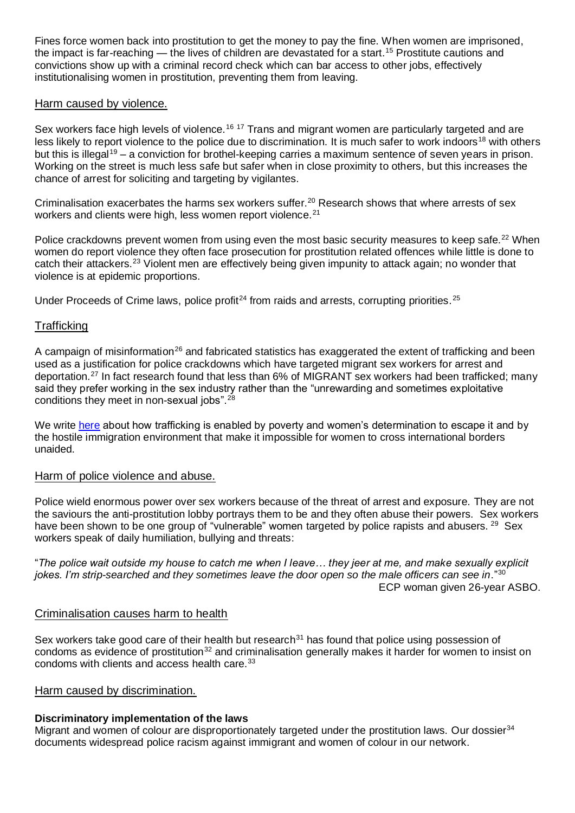Fines force women back into prostitution to get the money to pay the fine. When women are imprisoned, the impact is far-reaching — the lives of children are devastated for a start.<sup>15</sup> Prostitute cautions and convictions show up with a criminal record check which can bar access to other jobs, effectively institutionalising women in prostitution, preventing them from leaving.

#### Harm caused by violence.

Sex workers face high levels of violence.<sup>16 17</sup> Trans and migrant women are particularly targeted and are less likely to report violence to the police due to discrimination. It is much safer to work indoors<sup>18</sup> with others but this is illegal<sup>19</sup> – a conviction for brothel-keeping carries a maximum sentence of seven vears in prison. Working on the street is much less safe but safer when in close proximity to others, but this increases the chance of arrest for soliciting and targeting by vigilantes.

Criminalisation exacerbates the harms sex workers suffer. <sup>20</sup> Research shows that where arrests of sex workers and clients were high, less women report violence.<sup>21</sup>

Police crackdowns prevent women from using even the most basic security measures to keep safe.<sup>22</sup> When women do report violence they often face prosecution for prostitution related offences while little is done to catch their attackers.<sup>23</sup> Violent men are effectively being given impunity to attack again; no wonder that violence is at epidemic proportions.

Under Proceeds of Crime laws, police profit<sup>24</sup> from raids and arrests, corrupting priorities.<sup>25</sup>

### **Trafficking**

A campaign of misinformation<sup>26</sup> and fabricated statistics has exaggerated the extent of trafficking and been used as a justification for police crackdowns which have targeted migrant sex workers for arrest and deportation.<sup>27</sup> In fact research found that less than 6% of MIGRANT sex workers had been trafficked; many said they prefer working in the sex industry rather than the "unrewarding and sometimes exploitative conditions they meet in non-sexual jobs".<sup>28</sup>

We write [here](https://www.redpepper.org.uk/criminalising-sex-work-wont-help-trafficked-women/) about how trafficking is enabled by poverty and women's determination to escape it and by the hostile immigration environment that make it impossible for women to cross international borders unaided.

#### Harm of police violence and abuse.

Police wield enormous power over sex workers because of the threat of arrest and exposure. They are not the saviours the anti-prostitution lobby portrays them to be and they often abuse their powers. Sex workers have been shown to be one group of "vulnerable" women targeted by police rapists and abusers. <sup>29</sup> Sex workers speak of daily humiliation, bullying and threats:

"*The police wait outside my house to catch me when I leave… they jeer at me, and make sexually explicit jokes. I'm strip-searched and they sometimes leave the door open so the male officers can see in*."<sup>30</sup> ECP woman given 26-year ASBO.

#### Criminalisation causes harm to health

Sex workers take good care of their health but research $31$  has found that police using possession of condoms as evidence of prostitution<sup>32</sup> and criminalisation generally makes it harder for women to insist on condoms with clients and access health care.<sup>33</sup>

#### Harm caused by discrimination.

# **Discriminatory implementation of the laws**

Migrant and women of colour are disproportionately targeted under the prostitution laws. Our dossier<sup>34</sup> documents widespread police racism against immigrant and women of colour in our network.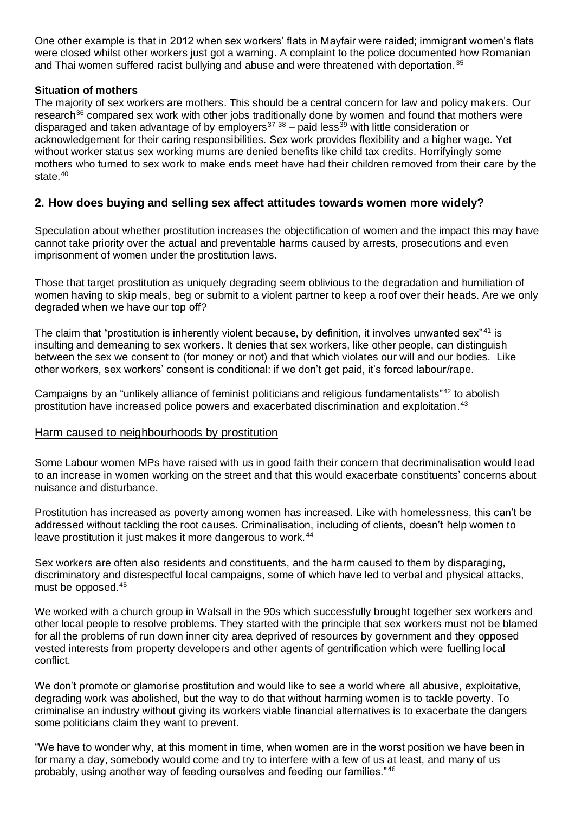One other example is that in 2012 when sex workers' flats in Mayfair were raided; immigrant women's flats were closed whilst other workers just got a warning. A complaint to the police documented how Romanian and Thai women suffered racist bullying and abuse and were threatened with deportation. 35

### **Situation of mothers**

The majority of sex workers are mothers. This should be a central concern for law and policy makers. Our research<sup>36</sup> compared sex work with other jobs traditionally done by women and found that mothers were disparaged and taken advantage of by employers<sup>37</sup> 38</sup> – paid less<sup>39</sup> with little consideration or acknowledgement for their caring responsibilities. Sex work provides flexibility and a higher wage. Yet without worker status sex working mums are denied benefits like child tax credits. Horrifyingly some mothers who turned to sex work to make ends meet have had their children removed from their care by the state. $40$ 

# **2. How does buying and selling sex affect attitudes towards women more widely?**

Speculation about whether prostitution increases the objectification of women and the impact this may have cannot take priority over the actual and preventable harms caused by arrests, prosecutions and even imprisonment of women under the prostitution laws.

Those that target prostitution as uniquely degrading seem oblivious to the degradation and humiliation of women having to skip meals, beg or submit to a violent partner to keep a roof over their heads. Are we only degraded when we have our top off?

The claim that "prostitution is inherently violent because, by definition, it involves unwanted sex<sup>"41</sup> is insulting and demeaning to sex workers. It denies that sex workers, like other people, can distinguish between the sex we consent to (for money or not) and that which violates our will and our bodies. Like other workers, sex workers' consent is conditional: if we don't get paid, it's forced labour/rape.

Campaigns by an "unlikely alliance of feminist politicians and religious fundamentalists"<sup>42</sup> to abolish prostitution have increased police powers and exacerbated discrimination and exploitation.<sup>43</sup>

#### Harm caused to neighbourhoods by prostitution

Some Labour women MPs have raised with us in good faith their concern that decriminalisation would lead to an increase in women working on the street and that this would exacerbate constituents' concerns about nuisance and disturbance.

Prostitution has increased as poverty among women has increased. Like with homelessness, this can't be addressed without tackling the root causes. Criminalisation, including of clients, doesn't help women to leave prostitution it just makes it more dangerous to work.<sup>44</sup>

Sex workers are often also residents and constituents, and the harm caused to them by disparaging, discriminatory and disrespectful local campaigns, some of which have led to verbal and physical attacks, must be opposed. 45

We worked with a church group in Walsall in the 90s which successfully brought together sex workers and other local people to resolve problems. They started with the principle that sex workers must not be blamed for all the problems of run down inner city area deprived of resources by government and they opposed vested interests from property developers and other agents of gentrification which were fuelling local conflict.

We don't promote or glamorise prostitution and would like to see a world where all abusive, exploitative, degrading work was abolished, but the way to do that without harming women is to tackle poverty. To criminalise an industry without giving its workers viable financial alternatives is to exacerbate the dangers some politicians claim they want to prevent.

"We have to wonder why, at this moment in time, when women are in the worst position we have been in for many a day, somebody would come and try to interfere with a few of us at least, and many of us probably, using another way of feeding ourselves and feeding our families." <sup>46</sup>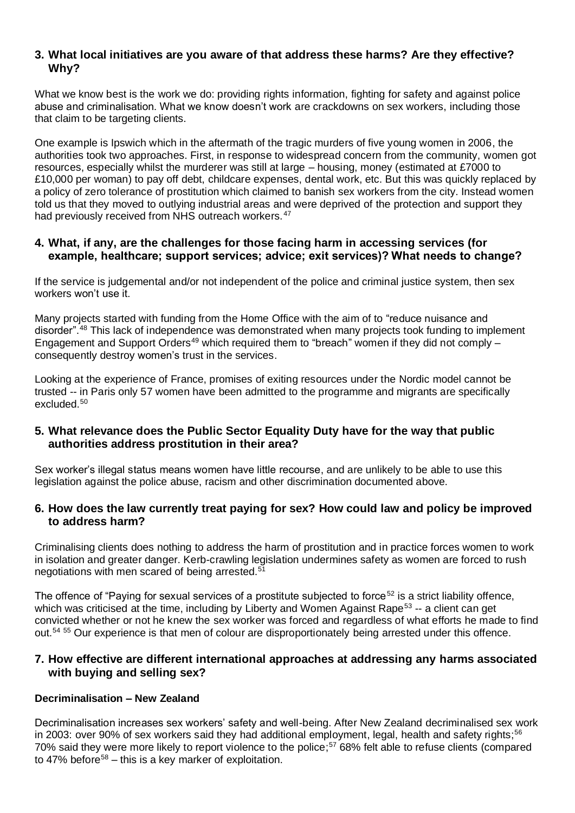# **3. What local initiatives are you aware of that address these harms? Are they effective? Why?**

What we know best is the work we do: providing rights information, fighting for safety and against police abuse and criminalisation. What we know doesn't work are crackdowns on sex workers, including those that claim to be targeting clients.

One example is Ipswich which in the aftermath of the tragic murders of five young women in 2006, the authorities took two approaches. First, in response to widespread concern from the community, women got resources, especially whilst the murderer was still at large – housing, money (estimated at £7000 to £10,000 per woman) to pay off debt, childcare expenses, dental work, etc. But this was quickly replaced by a policy of zero tolerance of prostitution which claimed to banish sex workers from the city. Instead women told us that they moved to outlying industrial areas and were deprived of the protection and support they had previously received from NHS outreach workers.<sup>47</sup>

### **4. What, if any, are the challenges for those facing harm in accessing services (for example, healthcare; support services; advice; exit services)? What needs to change?**

If the service is judgemental and/or not independent of the police and criminal justice system, then sex workers won't use it.

Many projects started with funding from the Home Office with the aim of to "reduce nuisance and disorder".<sup>48</sup> This lack of independence was demonstrated when many projects took funding to implement Engagement and Support Orders<sup>49</sup> which required them to "breach" women if they did not comply  $$ consequently destroy women's trust in the services.

Looking at the experience of France, promises of exiting resources under the Nordic model cannot be trusted -- in Paris only 57 women have been admitted to the programme and migrants are specifically excluded.<sup>50</sup>

## **5. What relevance does the Public Sector Equality Duty have for the way that public authorities address prostitution in their area?**

Sex worker's illegal status means women have little recourse, and are unlikely to be able to use this legislation against the police abuse, racism and other discrimination documented above.

### **6. How does the law currently treat paying for sex? How could law and policy be improved to address harm?**

Criminalising clients does nothing to address the harm of prostitution and in practice forces women to work in isolation and greater danger. Kerb-crawling legislation undermines safety as women are forced to rush negotiations with men scared of being arrested.<sup>51</sup>

The offence of "Paying for sexual services of a prostitute subjected to force<sup>52</sup> is a strict liability offence, which was criticised at the time, including by Liberty and Women Against Rape<sup>53</sup> -- a client can get convicted whether or not he knew the sex worker was forced and regardless of what efforts he made to find out.<sup>54</sup> <sup>55</sup> Our experience is that men of colour are disproportionately being arrested under this offence.

## **7. How effective are different international approaches at addressing any harms associated with buying and selling sex?**

#### **Decriminalisation – New Zealand**

Decriminalisation increases sex workers' safety and well-being. After New Zealand decriminalised sex work in 2003: over 90% of sex workers said they had additional employment, legal, health and safety rights;<sup>56</sup> 70% said they were more likely to report violence to the police; <sup>57</sup> 68% felt able to refuse clients (compared to 47% before<sup>58</sup> – this is a key marker of exploitation.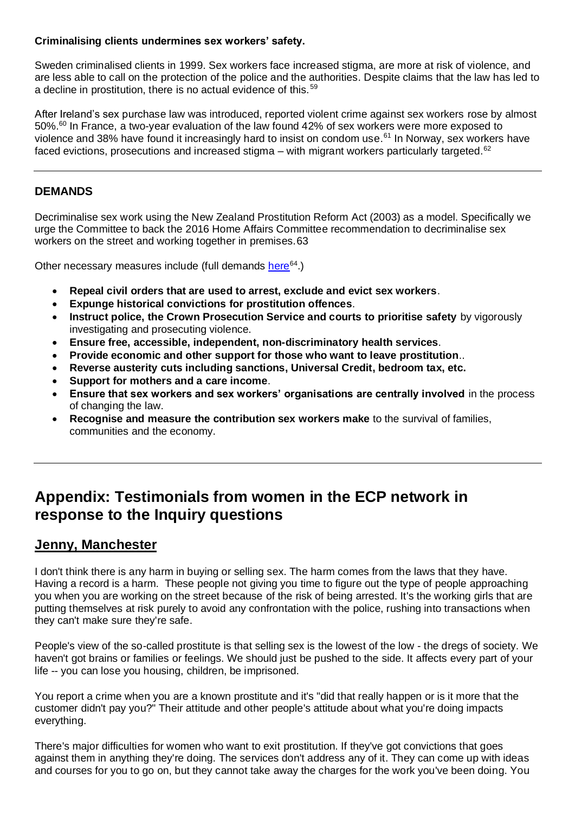### **Criminalising clients undermines sex workers' safety.**

Sweden criminalised clients in 1999. Sex workers face increased stigma, are more at risk of violence, and are less able to call on the [protection of the police and the authorities.](http://lastradainternational.org/lsidocs/3049-Levy%20Sweden.pdf) Despite claims that the law has led to a decline in prostitution, there is no actual evidence of this. <sup>59</sup>

After Ireland's sex purchase law was introduced, reported violent crime against sex workers [rose by almost](https://www.newstatesman.com/politics/feminism/2018/03/does-nordic-model-work-what-happened-when-ireland-criminalised-buying-sex)  [50%.](https://www.newstatesman.com/politics/feminism/2018/03/does-nordic-model-work-what-happened-when-ireland-criminalised-buying-sex)<sup>60</sup> In France, a [two-year evaluation](http://www.sexworkeurope.org/sites/default/files/userfiles/files/EN_synthesis_SW_final_2.pdf) of the law found 42% of sex workers were more exposed to violence and 38% have found it increasingly hard to insist on condom use.<sup>61</sup> In Norway, sex workers have faced evictions, prosecutions and increased stigma – with [migrant workers particularly targeted.](https://www.amnesty.org/en/documents/eur36/4034/2016/en/)<sup>62</sup>

# **DEMANDS**

Decriminalise sex work using the New Zealand Prostitution Reform Act (2003) as a model. Specifically we urge the Committee to back the 2016 Home Affairs Committee recommendation to decriminalise sex workers on the street and working together in premises.63

Other necessary measures include (full demands [here](http://prostitutescollective.net/wp-content/uploads/2017/01/Online-Symposium-Report.pdf)<sup>64</sup>.)

- **Repeal civil orders that are used to arrest, exclude and evict sex workers**.
- **Expunge historical convictions for prostitution offences**.
- **Instruct police, the Crown Prosecution Service and courts to prioritise safety** by vigorously investigating and prosecuting violence.
- **Ensure free, accessible, independent, non-discriminatory health services**.
- **Provide economic and other support for those who want to leave prostitution**..
- **Reverse austerity cuts including sanctions, Universal Credit, bedroom tax, etc.**
- **Support for mothers and a care income**.
- **Ensure that sex workers and sex workers' organisations are centrally involved** in the process of changing the law.
- **Recognise and measure the contribution sex workers make** to the survival of families, communities and the economy.

# **Appendix: Testimonials from women in the ECP network in response to the Inquiry questions**

# **Jenny, Manchester**

I don't think there is any harm in buying or selling sex. The harm comes from the laws that they have. Having a record is a harm. These people not giving you time to figure out the type of people approaching you when you are working on the street because of the risk of being arrested. It's the working girls that are putting themselves at risk purely to avoid any confrontation with the police, rushing into transactions when they can't make sure they're safe.

People's view of the so-called prostitute is that selling sex is the lowest of the low - the dregs of society. We haven't got brains or families or feelings. We should just be pushed to the side. It affects every part of your life -- you can lose you housing, children, be imprisoned.

You report a crime when you are a known prostitute and it's "did that really happen or is it more that the customer didn't pay you?" Their attitude and other people's attitude about what you're doing impacts everything.

There's major difficulties for women who want to exit prostitution. If they've got convictions that goes against them in anything they're doing. The services don't address any of it. They can come up with ideas and courses for you to go on, but they cannot take away the charges for the work you've been doing. You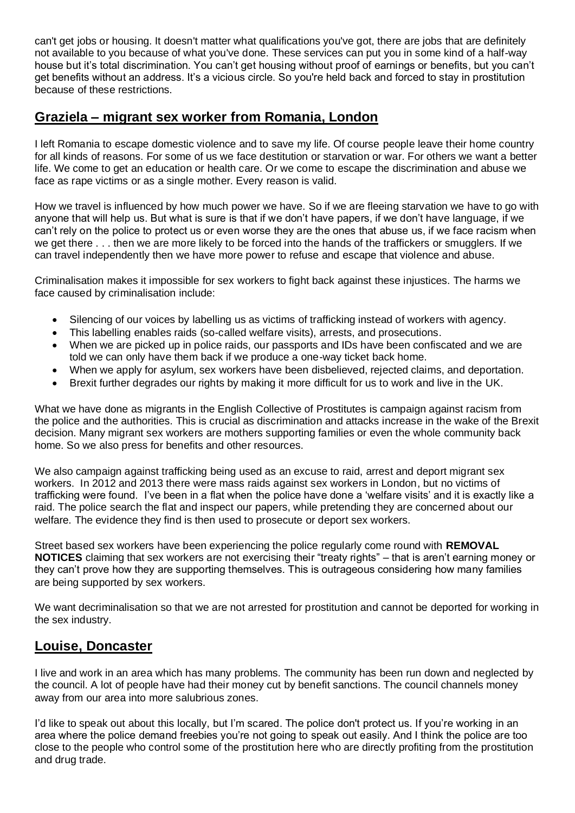can't get jobs or housing. It doesn't matter what qualifications you've got, there are jobs that are definitely not available to you because of what you've done. These services can put you in some kind of a half-way house but it's total discrimination. You can't get housing without proof of earnings or benefits, but you can't get benefits without an address. It's a vicious circle. So you're held back and forced to stay in prostitution because of these restrictions.

# **Graziela – migrant sex worker from Romania, London**

I left Romania to escape domestic violence and to save my life. Of course people leave their home country for all kinds of reasons. For some of us we face destitution or starvation or war. For others we want a better life. We come to get an education or health care. Or we come to escape the discrimination and abuse we face as rape victims or as a single mother. Every reason is valid.

How we travel is influenced by how much power we have. So if we are fleeing starvation we have to go with anyone that will help us. But what is sure is that if we don't have papers, if we don't have language, if we can't rely on the police to protect us or even worse they are the ones that abuse us, if we face racism when we get there . . . then we are more likely to be forced into the hands of the traffickers or smugglers. If we can travel independently then we have more power to refuse and escape that violence and abuse.

Criminalisation makes it impossible for sex workers to fight back against these injustices. The harms we face caused by criminalisation include:

- Silencing of our voices by labelling us as victims of trafficking instead of workers with agency.
- This labelling enables raids (so-called welfare visits), arrests, and prosecutions.
- When we are picked up in police raids, our passports and IDs have been confiscated and we are told we can only have them back if we produce a one-way ticket back home.
- When we apply for asylum, sex workers have been disbelieved, rejected claims, and deportation.
- Brexit further degrades our rights by making it more difficult for us to work and live in the UK.

What we have done as migrants in the English Collective of Prostitutes is campaign against racism from the police and the authorities. This is crucial as discrimination and attacks increase in the wake of the Brexit decision. Many migrant sex workers are mothers supporting families or even the whole community back home. So we also press for benefits and other resources.

We also campaign against trafficking being used as an excuse to raid, arrest and deport migrant sex workers. In 2012 and 2013 there were mass raids against sex workers in London, but no victims of trafficking were found. I've been in a flat when the police have done a 'welfare visits' and it is exactly like a raid. The police search the flat and inspect our papers, while pretending they are concerned about our welfare. The evidence they find is then used to prosecute or deport sex workers.

Street based sex workers have been experiencing the police regularly come round with **REMOVAL NOTICES** claiming that sex workers are not exercising their "treaty rights" – that is aren't earning money or they can't prove how they are supporting themselves. This is outrageous considering how many families are being supported by sex workers.

We want decriminalisation so that we are not arrested for prostitution and cannot be deported for working in the sex industry.

# **Louise, Doncaster**

I live and work in an area which has many problems. The community has been run down and neglected by the council. A lot of people have had their money cut by benefit sanctions. The council channels money away from our area into more salubrious zones.

I'd like to speak out about this locally, but I'm scared. The police don't protect us. If you're working in an area where the police demand freebies you're not going to speak out easily. And I think the police are too close to the people who control some of the prostitution here who are directly profiting from the prostitution and drug trade.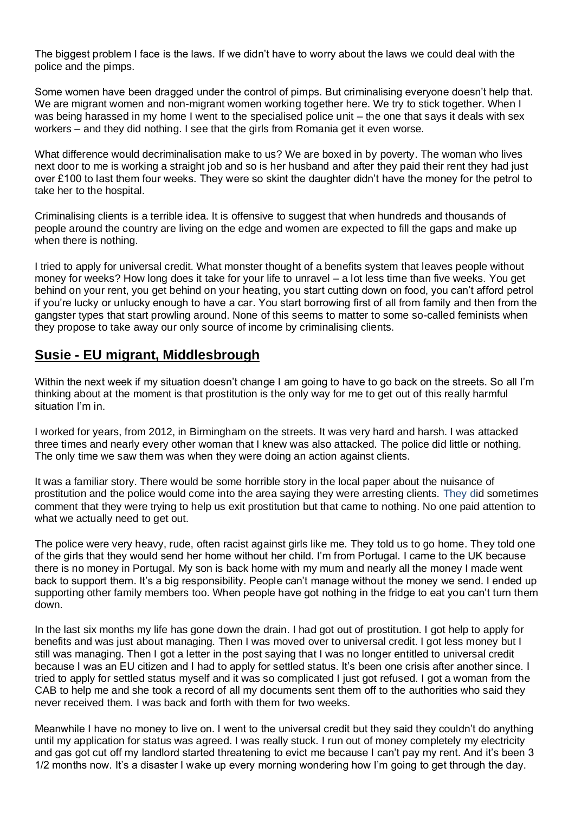The biggest problem I face is the laws. If we didn't have to worry about the laws we could deal with the police and the pimps.

Some women have been dragged under the control of pimps. But criminalising everyone doesn't help that. We are migrant women and non-migrant women working together here. We try to stick together. When I was being harassed in my home I went to the specialised police unit – the one that says it deals with sex workers – and they did nothing. I see that the girls from Romania get it even worse.

What difference would decriminalisation make to us? We are boxed in by poverty. The woman who lives next door to me is working a straight job and so is her husband and after they paid their rent they had just over £100 to last them four weeks. They were so skint the daughter didn't have the money for the petrol to take her to the hospital.

Criminalising clients is a terrible idea. It is offensive to suggest that when hundreds and thousands of people around the country are living on the edge and women are expected to fill the gaps and make up when there is nothing.

I tried to apply for universal credit. What monster thought of a benefits system that leaves people without money for weeks? How long does it take for your life to unravel – a lot less time than five weeks. You get behind on your rent, you get behind on your heating, you start cutting down on food, you can't afford petrol if you're lucky or unlucky enough to have a car. You start borrowing first of all from family and then from the gangster types that start prowling around. None of this seems to matter to some so-called feminists when they propose to take away our only source of income by criminalising clients.

# **Susie - EU migrant, Middlesbrough**

Within the next week if my situation doesn't change I am going to have to go back on the streets. So all I'm thinking about at the moment is that prostitution is the only way for me to get out of this really harmful situation I'm in.

I worked for years, from 2012, in Birmingham on the streets. It was very hard and harsh. I was attacked three times and nearly every other woman that I knew was also attacked. The police did little or nothing. The only time we saw them was when they were doing an action against clients.

It was a familiar story. There would be some horrible story in the local paper about the nuisance of prostitution and the police would come into the area saying they were arresting clients. They did sometimes comment that they were trying to help us exit prostitution but that came to nothing. No one paid attention to what we actually need to get out.

The police were very heavy, rude, often racist against girls like me. They told us to go home. They told one of the girls that they would send her home without her child. I'm from Portugal. I came to the UK because there is no money in Portugal. My son is back home with my mum and nearly all the money I made went back to support them. It's a big responsibility. People can't manage without the money we send. I ended up supporting other family members too. When people have got nothing in the fridge to eat you can't turn them down.

In the last six months my life has gone down the drain. I had got out of prostitution. I got help to apply for benefits and was just about managing. Then I was moved over to universal credit. I got less money but I still was managing. Then I got a letter in the post saying that I was no longer entitled to universal credit because I was an EU citizen and I had to apply for settled status. It's been one crisis after another since. I tried to apply for settled status myself and it was so complicated I just got refused. I got a woman from the CAB to help me and she took a record of all my documents sent them off to the authorities who said they never received them. I was back and forth with them for two weeks.

Meanwhile I have no money to live on. I went to the universal credit but they said they couldn't do anything until my application for status was agreed. I was really stuck. I run out of money completely my electricity and gas got cut off my landlord started threatening to evict me because I can't pay my rent. And it's been 3 1/2 months now. It's a disaster I wake up every morning wondering how I'm going to get through the day.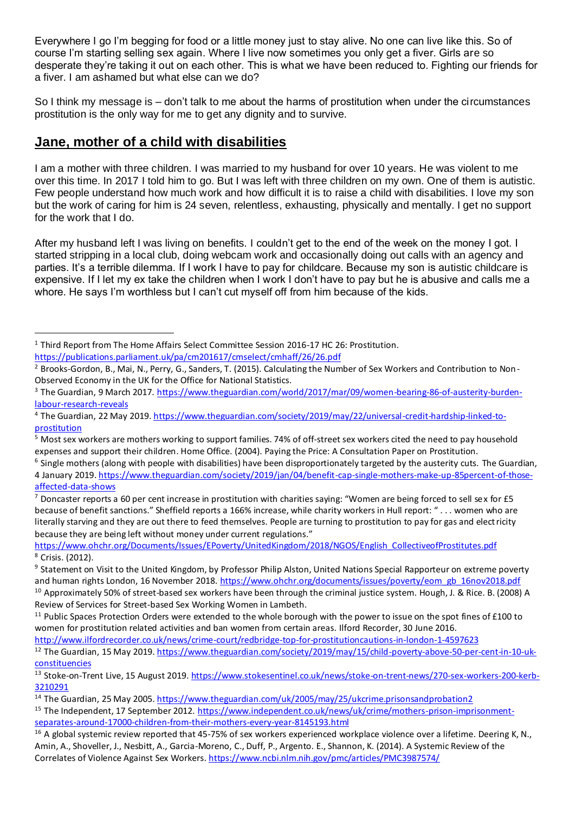Everywhere I go I'm begging for food or a little money just to stay alive. No one can live like this. So of course I'm starting selling sex again. Where I live now sometimes you only get a fiver. Girls are so desperate they're taking it out on each other. This is what we have been reduced to. Fighting our friends for a fiver. I am ashamed but what else can we do?

So I think my message is – don't talk to me about the harms of prostitution when under the circumstances prostitution is the only way for me to get any dignity and to survive.

# **Jane, mother of a child with disabilities**

I am a mother with three children. I was married to my husband for over 10 years. He was violent to me over this time. In 2017 I told him to go. But I was left with three children on my own. One of them is autistic. Few people understand how much work and how difficult it is to raise a child with disabilities. I love my son but the work of caring for him is 24 seven, relentless, exhausting, physically and mentally. I get no support for the work that I do.

After my husband left I was living on benefits. I couldn't get to the end of the week on the money I got. I started stripping in a local club, doing webcam work and occasionally doing out calls with an agency and parties. It's a terrible dilemma. If I work I have to pay for childcare. Because my son is autistic childcare is expensive. If I let my ex take the children when I work I don't have to pay but he is abusive and calls me a whore. He says I'm worthless but I can't cut myself off from him because of the kids.

<sup>1</sup> Third Report from The Home Affairs Select Committee Session 2016-17 HC 26: Prostitution.

<https://publications.parliament.uk/pa/cm201617/cmselect/cmhaff/26/26.pdf>

<sup>&</sup>lt;sup>2</sup> Brooks-Gordon, B., Mai, N., Perry, G., Sanders, T. (2015). Calculating the Number of Sex Workers and Contribution to Non-Observed Economy in the UK for the Office for National Statistics.

<sup>3</sup> The Guardian, 9 March 2017. [https://www.theguardian.com/world/2017/mar/09/women-bearing-86-of-austerity-burden](https://www.theguardian.com/world/2017/mar/09/women-bearing-86-of-austerity-burden-labour-research-reveals)[labour-research-reveals](https://www.theguardian.com/world/2017/mar/09/women-bearing-86-of-austerity-burden-labour-research-reveals)

<sup>4</sup> The Guardian, 22 May 2019[. https://www.theguardian.com/society/2019/may/22/universal-credit-hardship-linked-to](https://www.theguardian.com/society/2019/may/22/universal-credit-hardship-linked-to-prostitution)[prostitution](https://www.theguardian.com/society/2019/may/22/universal-credit-hardship-linked-to-prostitution)

<sup>5</sup> Most sex workers are mothers working to support families. 74% of off-street sex workers cited the need to pay household expenses and support their children. Home Office. (2004). Paying the Price: A Consultation Paper on Prostitution.

 $^6$  Single mothers (along with people with disabilities) have been disproportionately targeted by the austerity cuts. The Guardian, 4 January 2019[. https://www.theguardian.com/society/2019/jan/04/benefit-cap-single-mothers-make-up-85percent-of-those](https://www.theguardian.com/society/2019/jan/04/benefit-cap-single-mothers-make-up-85percent-of-those-affected-data-shows)[affected-data-shows](https://www.theguardian.com/society/2019/jan/04/benefit-cap-single-mothers-make-up-85percent-of-those-affected-data-shows)

 $^7$  Doncaster reports a 60 per cent increase in prostitution with charities saying: "Women are being forced to sell sex for £5 because of benefit sanctions." Sheffield reports a 166% increase, while charity workers in Hull report: " . . . women who are literally starving and they are out there to feed themselves. People are turning to prostitution to pay for gas and electricity because they are being left without money under current regulations."

[https://www.ohchr.org/Documents/Issues/EPoverty/UnitedKingdom/2018/NGOS/English\\_CollectiveofProstitutes.pdf](https://www.ohchr.org/Documents/Issues/EPoverty/UnitedKingdom/2018/NGOS/English_CollectiveofProstitutes.pdf) <sup>8</sup> Crisis. (2012).

<sup>&</sup>lt;sup>9</sup> Statement on Visit to the United Kingdom, by Professor Philip Alston, United Nations Special Rapporteur on extreme poverty and human rights London, 16 November 2018[. https://www.ohchr.org/documents/issues/poverty/eom\\_gb\\_16nov2018.pdf](https://www.ohchr.org/documents/issues/poverty/eom_gb_16nov2018.pdf) <sup>10</sup> Approximately 50% of street-based sex workers have been through the criminal justice system. Hough, J. & Rice. B. (2008) A Review of Services for Street-based Sex Working Women in Lambeth.

 $11$  Public Spaces Protection Orders were extended to the whole borough with the power to issue on the spot fines of £100 to women for prostitution related activities and ban women from certain areas. Ilford Recorder, 30 June 2016.

<http://www.ilfordrecorder.co.uk/news/crime-court/redbridge-top-for-prostitutioncautions-in-london-1-4597623>

<sup>&</sup>lt;sup>12</sup> The Guardian, 15 May 2019[. https://www.theguardian.com/society/2019/may/15/child-poverty-above-50-per-cent-in-10-uk](https://www.theguardian.com/society/2019/may/15/child-poverty-above-50-per-cent-in-10-uk-constituencies)[constituencies](https://www.theguardian.com/society/2019/may/15/child-poverty-above-50-per-cent-in-10-uk-constituencies)

<sup>13</sup> Stoke-on-Trent Live, 15 August 2019[. https://www.stokesentinel.co.uk/news/stoke-on-trent-news/270-sex-workers-200-kerb-](https://www.stokesentinel.co.uk/news/stoke-on-trent-news/270-sex-workers-200-kerb-3210291)[3210291](https://www.stokesentinel.co.uk/news/stoke-on-trent-news/270-sex-workers-200-kerb-3210291)

<sup>14</sup> The Guardian, 25 May 2005[. https://www.theguardian.com/uk/2005/may/25/ukcrime.prisonsandprobation2](https://www.theguardian.com/uk/2005/may/25/ukcrime.prisonsandprobation2) <sup>15</sup> The Independent, 17 September 2012. [https://www.independent.co.uk/news/uk/crime/mothers-prison-imprisonment](https://www.independent.co.uk/news/uk/crime/mothers-prison-imprisonment-separates-around-17000-children-from-their-mothers-every-year-8145193.html)[separates-around-17000-children-from-their-mothers-every-year-8145193.html](https://www.independent.co.uk/news/uk/crime/mothers-prison-imprisonment-separates-around-17000-children-from-their-mothers-every-year-8145193.html)

 $16$  A global systemic review reported that 45-75% of sex workers experienced workplace violence over a lifetime. Deering K, N., Amin, A., Shoveller, J., Nesbitt, A., Garcia-Moreno, C., Duff, P., Argento. E., Shannon, K. (2014). A Systemic Review of the Correlates of Violence Against Sex Workers.<https://www.ncbi.nlm.nih.gov/pmc/articles/PMC3987574/>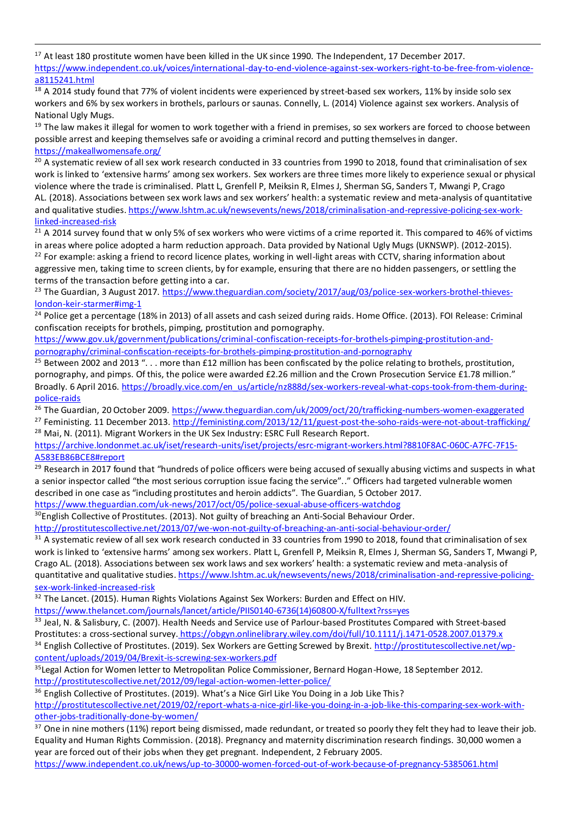<sup>17</sup> At least 180 prostitute women have been killed in the UK since 1990. The Independent, 17 December 2017. [https://www.independent.co.uk/voices/international-day-to-end-violence-against-sex-workers-right-to-be-free-from-violence](https://www.independent.co.uk/voices/international-day-to-end-violence-against-sex-workers-right-to-be-free-from-violence-a8115241.html)[a8115241.html](https://www.independent.co.uk/voices/international-day-to-end-violence-against-sex-workers-right-to-be-free-from-violence-a8115241.html)

 $18$  A 2014 study found that 77% of violent incidents were experienced by street-based sex workers, 11% by inside solo sex workers and 6% by sex workers in brothels, parlours or saunas. Connelly, L. (2014) Violence against sex workers. Analysis of National Ugly Mugs.

<sup>19</sup> The law makes it illegal for women to work together with a friend in premises, so sex workers are forced to choose between possible arrest and keeping themselves safe or avoiding a criminal record and putting themselves in danger. <https://makeallwomensafe.org/>

<sup>20</sup> A systematic review of all sex work research conducted in 33 countries from 1990 to 2018, found that criminalisation of sex work is linked to 'extensive harms' among sex workers. Sex workers are three times more likely to experience sexual or physical violence where the trade is criminalised. Platt L, Grenfell P, Meiksin R, Elmes J, Sherman SG, Sanders T, Mwangi P, Crago AL. (2018). Associations between sex work laws and sex workers' health: a systematic review and meta-analysis of quantitative and qualitative studies[. https://www.lshtm.ac.uk/newsevents/news/2018/criminalisation-and-repressive-policing-sex-work](https://www.lshtm.ac.uk/newsevents/news/2018/criminalisation-and-repressive-policing-sex-work-linked-increased-risk)[linked-increased-risk](https://www.lshtm.ac.uk/newsevents/news/2018/criminalisation-and-repressive-policing-sex-work-linked-increased-risk)

 $21$  A 2014 survey found that w only 5% of sex workers who were victims of a crime reported it. This compared to 46% of victims in areas where police adopted a harm reduction approach. Data provided by National Ugly Mugs (UKNSWP). (2012-2015). <sup>22</sup> For example: asking a friend to record licence plates, working in well-light areas with CCTV, sharing information about aggressive men, taking time to screen clients, by for example, ensuring that there are no hidden passengers, or settling the terms of the transaction before getting into a car.

<sup>23</sup> The Guardian, 3 August 2017[. https://www.theguardian.com/society/2017/aug/03/police-sex-workers-brothel-thieves](https://www.theguardian.com/society/2017/aug/03/police-sex-workers-brothel-thieves-london-keir-starmer#img-1)[london-keir-starmer#img-1](https://www.theguardian.com/society/2017/aug/03/police-sex-workers-brothel-thieves-london-keir-starmer#img-1)

<sup>24</sup> Police get a percentage (18% in 2013) of all assets and cash seized during raids. Home Office. (2013). FOI Release: Criminal confiscation receipts for brothels, pimping, prostitution and pornography.

[https://www.gov.uk/government/publications/criminal-confiscation-receipts-for-brothels-pimping-prostitution-and](https://www.gov.uk/government/publications/criminal-confiscation-receipts-for-brothels-pimping-prostitution-and-pornography/criminal-confiscation-receipts-for-brothels-pimping-prostitution-and-pornography)[pornography/criminal-confiscation-receipts-for-brothels-pimping-prostitution-and-pornography](https://www.gov.uk/government/publications/criminal-confiscation-receipts-for-brothels-pimping-prostitution-and-pornography/criminal-confiscation-receipts-for-brothels-pimping-prostitution-and-pornography)

 $25$  Between 2002 and 2013 ". . . more than £12 million has been confiscated by the police relating to brothels, prostitution, pornography, and pimps. Of this, the police were awarded £2.26 million and the Crown Prosecution Service £1.78 million." Broadly. 6 April 2016[. https://broadly.vice.com/en\\_us/article/nz888d/sex-workers-reveal-what-cops-took-from-them-during](https://broadly.vice.com/en_us/article/nz888d/sex-workers-reveal-what-cops-took-from-them-during-police-raids)[police-raids](https://broadly.vice.com/en_us/article/nz888d/sex-workers-reveal-what-cops-took-from-them-during-police-raids)

<sup>26</sup> The Guardian, 20 October 2009[. https://www.theguardian.com/uk/2009/oct/20/trafficking-numbers-women-exaggerated](https://www.theguardian.com/uk/2009/oct/20/trafficking-numbers-women-exaggerated) <sup>27</sup> Feministing. 11 December 2013[. http://feministing.com/2013/12/11/guest-post-the-soho-raids-were-not-about-trafficking/](http://feministing.com/2013/12/11/guest-post-the-soho-raids-were-not-about-trafficking/)

<sup>28</sup> Mai, N. (2011). Migrant Workers in the UK Sex Industry: ESRC Full Research Report. [https://archive.londonmet.ac.uk/iset/research-units/iset/projects/esrc-migrant-workers.html?8810F8AC-060C-A7FC-7F15-](https://archive.londonmet.ac.uk/iset/research-units/iset/projects/esrc-migrant-workers.html?8810F8AC-060C-A7FC-7F15-A583EB86BCE8#report)

#### [A583EB86BCE8#report](https://archive.londonmet.ac.uk/iset/research-units/iset/projects/esrc-migrant-workers.html?8810F8AC-060C-A7FC-7F15-A583EB86BCE8#report)

<sup>29</sup> Research in 2017 found that "hundreds of police officers were being accused of sexually abusing victims and suspects in what a senior inspector called "the most serious corruption issue facing the service".." Officers had targeted vulnerable women described in one case as "including prostitutes and heroin addicts". The Guardian, 5 October 2017. <https://www.theguardian.com/uk-news/2017/oct/05/police-sexual-abuse-officers-watchdog>

 $30$ English Collective of Prostitutes. (2013). Not guilty of breaching an Anti-Social Behaviour Order.

<http://prostitutescollective.net/2013/07/we-won-not-guilty-of-breaching-an-anti-social-behaviour-order/>

<sup>31</sup> A systematic review of all sex work research conducted in 33 countries from 1990 to 2018, found that criminalisation of sex work is linked to 'extensive harms' among sex workers. Platt L, Grenfell P, Meiksin R, Elmes J, Sherman SG, Sanders T, Mwangi P, Crago AL. (2018). Associations between sex work laws and sex workers' health: a systematic review and meta-analysis of quantitative and qualitative studies[. https://www.lshtm.ac.uk/newsevents/news/2018/criminalisation-and-repressive-policing](https://www.lshtm.ac.uk/newsevents/news/2018/criminalisation-and-repressive-policing-sex-work-linked-increased-risk)[sex-work-linked-increased-risk](https://www.lshtm.ac.uk/newsevents/news/2018/criminalisation-and-repressive-policing-sex-work-linked-increased-risk)

<sup>32</sup> The Lancet. (2015). Human Rights Violations Against Sex Workers: Burden and Effect on HIV.

[https://www.thelancet.com/journals/lancet/article/PIIS0140-6736\(14\)60800-X/fulltext?rss=yes](https://www.thelancet.com/journals/lancet/article/PIIS0140-6736(14)60800-X/fulltext?rss=yes)

33 Jeal, N. & Salisbury, C. (2007). Health Needs and Service use of Parlour-based Prostitutes Compared with Street-based Prostitutes: a cross-sectional survey. <https://obgyn.onlinelibrary.wiley.com/doi/full/10.1111/j.1471-0528.2007.01379.x> 34 English Collective of Prostitutes. (2019). Sex Workers are Getting Screwed by Brexit[. http://prostitutescollective.net/wp](http://prostitutescollective.net/wp-content/uploads/2019/04/Brexit-is-screwing-sex-workers.pdf)[content/uploads/2019/04/Brexit-is-screwing-sex-workers.pdf](http://prostitutescollective.net/wp-content/uploads/2019/04/Brexit-is-screwing-sex-workers.pdf)

<sup>35</sup>Legal Action for Women letter to Metropolitan Police Commissioner, Bernard Hogan-Howe, 18 September 2012. <http://prostitutescollective.net/2012/09/legal-action-women-letter-police/>

<sup>36</sup> English Collective of Prostitutes. (2019). What's a Nice Girl Like You Doing in a Job Like This? [http://prostitutescollective.net/2019/02/report-whats-a-nice-girl-like-you-doing-in-a-job-like-this-comparing-sex-work-with](http://prostitutescollective.net/2019/02/report-whats-a-nice-girl-like-you-doing-in-a-job-like-this-comparing-sex-work-with-other-jobs-traditionally-done-by-women/)[other-jobs-traditionally-done-by-women/](http://prostitutescollective.net/2019/02/report-whats-a-nice-girl-like-you-doing-in-a-job-like-this-comparing-sex-work-with-other-jobs-traditionally-done-by-women/)

<sup>37</sup> One in nine mothers (11%) report being dismissed, made redundant, or treated so poorly they felt they had to leave their job. Equality and Human Rights Commission. (2018). Pregnancy and maternity discrimination research findings. 30,000 women a year are forced out of their jobs when they get pregnant. Independent, 2 February 2005.

<https://www.independent.co.uk/news/up-to-30000-women-forced-out-of-work-because-of-pregnancy-5385061.html>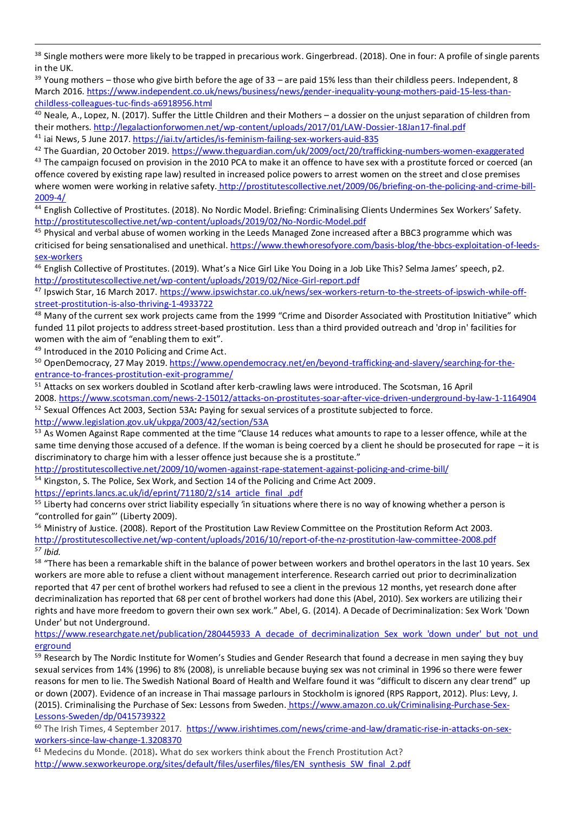38 Single mothers were more likely to be trapped in precarious work. Gingerbread. (2018). One in four: A profile of single parents in the UK.

<sup>39</sup> Young mothers – those who give birth before the age of 33 – are paid 15% less than their childless peers. Independent, 8 March 2016[. https://www.independent.co.uk/news/business/news/gender-inequality-young-mothers-paid-15-less-than](https://www.independent.co.uk/news/business/news/gender-inequality-young-mothers-paid-15-less-than-childless-colleagues-tuc-finds-a6918956.html)[childless-colleagues-tuc-finds-a6918956.html](https://www.independent.co.uk/news/business/news/gender-inequality-young-mothers-paid-15-less-than-childless-colleagues-tuc-finds-a6918956.html)

<sup>40</sup> Neale, A., Lopez, N. (2017). Suffer the Little Children and their Mothers – a dossier on the unjust separation of children from their mothers*.* <http://legalactionforwomen.net/wp-content/uploads/2017/01/LAW-Dossier-18Jan17-final.pdf> <sup>41</sup> iai News, 5 June 2017[. https://iai.tv/articles/is-feminism-failing-sex-workers-auid-835](https://iai.tv/articles/is-feminism-failing-sex-workers-auid-835)

<sup>42</sup> The Guardian, 20 October 2019[. https://www.theguardian.com/uk/2009/oct/20/trafficking-numbers-women-exaggerated](https://www.theguardian.com/uk/2009/oct/20/trafficking-numbers-women-exaggerated) <sup>43</sup> The campaign focused on provision in the 2010 PCA to make it an offence to have sex with a prostitute forced or coerced (an offence covered by existing rape law) resulted in increased police powers to arrest women on the street and close premises where women were working in relative safety. [http://prostitutescollective.net/2009/06/briefing-on-the-policing-and-crime-bill-](http://prostitutescollective.net/2009/06/briefing-on-the-policing-and-crime-bill-2009-4/)[2009-4/](http://prostitutescollective.net/2009/06/briefing-on-the-policing-and-crime-bill-2009-4/)

<sup>44</sup> English Collective of Prostitutes. (2018). No Nordic Model. Briefing: Criminalising Clients Undermines Sex Workers' Safety. <http://prostitutescollective.net/wp-content/uploads/2019/02/No-Nordic-Model.pdf>

<sup>45</sup> Physical and verbal abuse of women working in the Leeds Managed Zone increased after a BBC3 programme which was criticised for being sensationalised and unethical[. https://www.thewhoresofyore.com/basis-blog/the-bbcs-exploitation-of-leeds](https://www.thewhoresofyore.com/basis-blog/the-bbcs-exploitation-of-leeds-sex-workers)[sex-workers](https://www.thewhoresofyore.com/basis-blog/the-bbcs-exploitation-of-leeds-sex-workers)

<sup>46</sup> English Collective of Prostitutes. (2019). What's a Nice Girl Like You Doing in a Job Like This? Selma James' speech, p2. <http://prostitutescollective.net/wp-content/uploads/2019/02/Nice-Girl-report.pdf>

47 Ipswich Star, 16 March 2017[. https://www.ipswichstar.co.uk/news/sex-workers-return-to-the-streets-of-ipswich-while-off](https://www.ipswichstar.co.uk/news/sex-workers-return-to-the-streets-of-ipswich-while-off-street-prostitution-is-also-thriving-1-4933722)[street-prostitution-is-also-thriving-1-4933722](https://www.ipswichstar.co.uk/news/sex-workers-return-to-the-streets-of-ipswich-while-off-street-prostitution-is-also-thriving-1-4933722)

<sup>48</sup> Many of the current sex work projects came from the 1999 "Crime and Disorder Associated with Prostitution Initiative" which funded 11 pilot projects to address street-based prostitution. Less than a third provided outreach and 'drop in' facilities for women with the aim of "enabling them to exit".

49 Introduced in the 2010 Policing and Crime Act.

50 OpenDemocracy, 27 May 2019[. https://www.opendemocracy.net/en/beyond-trafficking-and-slavery/searching-for-the](https://www.opendemocracy.net/en/beyond-trafficking-and-slavery/searching-for-the-entrance-to-frances-prostitution-exit-programme/)[entrance-to-frances-prostitution-exit-programme/](https://www.opendemocracy.net/en/beyond-trafficking-and-slavery/searching-for-the-entrance-to-frances-prostitution-exit-programme/)

<sup>51</sup> Attacks on sex workers doubled in Scotland after kerb-crawling laws were introduced. The Scotsman, 16 April 2008. <https://www.scotsman.com/news-2-15012/attacks-on-prostitutes-soar-after-vice-driven-underground-by-law-1-1164904> <sup>52</sup> Sexual Offences Act 2003, Section 53A**:** Paying for sexual services of a prostitute subjected to force. <http://www.legislation.gov.uk/ukpga/2003/42/section/53A>

<sup>53</sup> As Women Against Rape commented at the time "Clause 14 reduces what amounts to rape to a lesser offence, while at the same time denying those accused of a defence. If the woman is being coerced by a client he should be prosecuted for rape – it is discriminatory to charge him with a lesser offence just because she is a prostitute."

<http://prostitutescollective.net/2009/10/women-against-rape-statement-against-policing-and-crime-bill/>

<sup>54</sup> Kingston, S. The Police, Sex Work, and Section 14 of the Policing and Crime Act 2009.

[https://eprints.lancs.ac.uk/id/eprint/71180/2/s14\\_article\\_final\\_.pdf](https://eprints.lancs.ac.uk/id/eprint/71180/2/s14_article_final_.pdf)

<sup>55</sup> Liberty had concerns over strict liability especially 'in situations where there is no way of knowing whether a person is "controlled for gain"' (Liberty 2009).

<sup>56</sup> Ministry of Justice. (2008). Report of the Prostitution Law Review Committee on the Prostitution Reform Act 2003. <http://prostitutescollective.net/wp-content/uploads/2016/10/report-of-the-nz-prostitution-law-committee-2008.pdf> *<sup>57</sup> Ibid.*

<sup>58</sup> "There has been a remarkable shift in the balance of power between workers and brothel operators in the last 10 years. Sex workers are more able to refuse a client without management interference. Research carried out prior to decriminalization reported that 47 per cent of brothel workers had refused to see a client in the previous 12 months, yet research done after decriminalization has reported that 68 per cent of brothel workers had done this (Abel, 2010). Sex workers are utilizing their rights and have more freedom to govern their own sex work." Abel, G. (2014). A Decade of Decriminalization: Sex Work 'Down Under' but not Underground.

[https://www.researchgate.net/publication/280445933\\_A\\_decade\\_of\\_decriminalization\\_Sex\\_work\\_'down\\_under'\\_but\\_not\\_und](https://www.researchgate.net/publication/280445933_A_decade_of_decriminalization_Sex_work_) [erground](https://www.researchgate.net/publication/280445933_A_decade_of_decriminalization_Sex_work_)

<sup>59</sup> Research by The Nordic Institute for Women's Studies and Gender Research that found a decrease in men saying they buy sexual services from 14% (1996) to 8% (2008), is unreliable because buying sex was not criminal in 1996 so there were fewer reasons for men to lie. The Swedish National Board of Health and Welfare found it was "difficult to discern any clear trend" up or down (2007). Evidence of an increase in Thai massage parlours in Stockholm is ignored (RPS Rapport, 2012). Plus: Levy, J. (2015). Criminalising the Purchase of Sex: Lessons from Sweden. [https://www.amazon.co.uk/Criminalising-Purchase-Sex-](https://www.amazon.co.uk/Criminalising-Purchase-Sex-Lessons-Sweden/dp/0415739322)[Lessons-Sweden/dp/0415739322](https://www.amazon.co.uk/Criminalising-Purchase-Sex-Lessons-Sweden/dp/0415739322)

<sup>60</sup> The Irish Times, 4 September 2017. [https://www.irishtimes.com/news/crime-and-law/dramatic-rise-in-attacks-on-sex](https://www.irishtimes.com/news/crime-and-law/dramatic-rise-in-attacks-on-sex-workers-since-law-change-1.3208370)[workers-since-law-change-1.3208370](https://www.irishtimes.com/news/crime-and-law/dramatic-rise-in-attacks-on-sex-workers-since-law-change-1.3208370)

<sup>61</sup> Medecins du Monde. (2018)**.** What do sex workers think about the French Prostitution Act? [http://www.sexworkeurope.org/sites/default/files/userfiles/files/EN\\_synthesis\\_SW\\_final\\_2.pdf](http://www.sexworkeurope.org/sites/default/files/userfiles/files/EN_synthesis_SW_final_2.pdf)